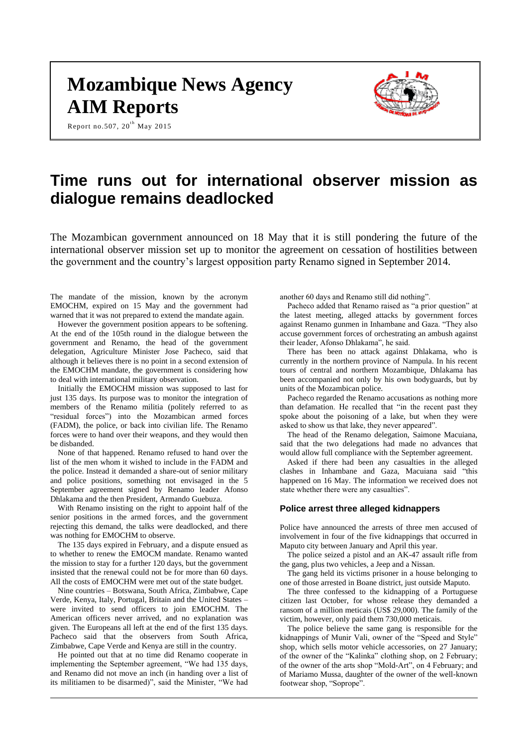# **Mozambique News Agency AIM Reports**

Report no.507,  $20^{th}$  May 2015



# **Time runs out for international observer mission as dialogue remains deadlocked**

The Mozambican government announced on 18 May that it is still pondering the future of the international observer mission set up to monitor the agreement on cessation of hostilities between the government and the country's largest opposition party Renamo signed in September 2014.

The mandate of the mission, known by the acronym EMOCHM, expired on 15 May and the government had warned that it was not prepared to extend the mandate again.

However the government position appears to be softening. At the end of the 105th round in the dialogue between the government and Renamo, the head of the government delegation, Agriculture Minister Jose Pacheco, said that although it believes there is no point in a second extension of the EMOCHM mandate, the government is considering how to deal with international military observation.

Initially the EMOCHM mission was supposed to last for just 135 days. Its purpose was to monitor the integration of members of the Renamo militia (politely referred to as "residual forces") into the Mozambican armed forces (FADM), the police, or back into civilian life. The Renamo forces were to hand over their weapons, and they would then be disbanded.

None of that happened. Renamo refused to hand over the list of the men whom it wished to include in the FADM and the police. Instead it demanded a share-out of senior military and police positions, something not envisaged in the 5 September agreement signed by Renamo leader Afonso Dhlakama and the then President, Armando Guebuza.

With Renamo insisting on the right to appoint half of the senior positions in the armed forces, and the government rejecting this demand, the talks were deadlocked, and there was nothing for EMOCHM to observe.

The 135 days expired in February, and a dispute ensued as to whether to renew the EMOCM mandate. Renamo wanted the mission to stay for a further 120 days, but the government insisted that the renewal could not be for more than 60 days. All the costs of EMOCHM were met out of the state budget.

Nine countries – Botswana, South Africa, Zimbabwe, Cape Verde, Kenya, Italy, Portugal, Britain and the United States – were invited to send officers to join EMOCHM. The American officers never arrived, and no explanation was given. The Europeans all left at the end of the first 135 days. Pacheco said that the observers from South Africa, Zimbabwe, Cape Verde and Kenya are still in the country.

He pointed out that at no time did Renamo cooperate in implementing the September agreement, "We had 135 days, and Renamo did not move an inch (in handing over a list of its militiamen to be disarmed)", said the Minister, "We had

another 60 days and Renamo still did nothing".

Pacheco added that Renamo raised as "a prior question" at the latest meeting, alleged attacks by government forces against Renamo gunmen in Inhambane and Gaza. "They also accuse government forces of orchestrating an ambush against their leader, Afonso Dhlakama", he said.

There has been no attack against Dhlakama, who is currently in the northern province of Nampula. In his recent tours of central and northern Mozambique, Dhlakama has been accompanied not only by his own bodyguards, but by units of the Mozambican police.

Pacheco regarded the Renamo accusations as nothing more than defamation. He recalled that "in the recent past they spoke about the poisoning of a lake, but when they were asked to show us that lake, they never appeared".

The head of the Renamo delegation, Saimone Macuiana, said that the two delegations had made no advances that would allow full compliance with the September agreement.

Asked if there had been any casualties in the alleged clashes in Inhambane and Gaza, Macuiana said "this happened on 16 May. The information we received does not state whether there were any casualties".

# **Police arrest three alleged kidnappers**

Police have announced the arrests of three men accused of involvement in four of the five kidnappings that occurred in Maputo city between January and April this year.

The police seized a pistol and an AK-47 assault rifle from the gang, plus two vehicles, a Jeep and a Nissan.

The gang held its victims prisoner in a house belonging to one of those arrested in Boane district, just outside Maputo.

The three confessed to the kidnapping of a Portuguese citizen last October, for whose release they demanded a ransom of a million meticais (US\$ 29,000). The family of the victim, however, only paid them 730,000 meticais.

The police believe the same gang is responsible for the kidnappings of Munir Vali, owner of the "Speed and Style" shop, which sells motor vehicle accessories, on 27 January; of the owner of the "Kalinka" clothing shop, on 2 February; of the owner of the arts shop "Mold-Art", on 4 February; and of Mariamo Mussa, daughter of the owner of the well-known footwear shop, "Soprope".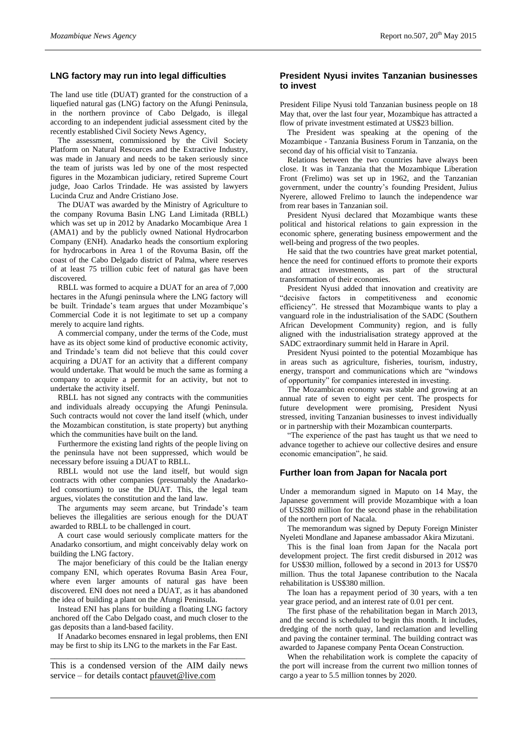## **LNG factory may run into legal difficulties**

The land use title (DUAT) granted for the construction of a liquefied natural gas (LNG) factory on the Afungi Peninsula, in the northern province of Cabo Delgado, is illegal according to an independent judicial assessment cited by the recently established Civil Society News Agency,

The assessment, commissioned by the Civil Society Platform on Natural Resources and the Extractive Industry, was made in January and needs to be taken seriously since the team of jurists was led by one of the most respected figures in the Mozambican judiciary, retired Supreme Court judge, Joao Carlos Trindade. He was assisted by lawyers Lucinda Cruz and Andre Cristiano Jose.

The DUAT was awarded by the Ministry of Agriculture to the company Rovuma Basin LNG Land Limitada (RBLL) which was set up in 2012 by Anadarko Mocambique Area 1 (AMA1) and by the publicly owned National Hydrocarbon Company (ENH). Anadarko heads the consortium exploring for hydrocarbons in Area 1 of the Rovuma Basin, off the coast of the Cabo Delgado district of Palma, where reserves of at least 75 trillion cubic feet of natural gas have been discovered.

RBLL was formed to acquire a DUAT for an area of 7,000 hectares in the Afungi peninsula where the LNG factory will be built. Trindade's team argues that under Mozambique's Commercial Code it is not legitimate to set up a company merely to acquire land rights.

A commercial company, under the terms of the Code, must have as its object some kind of productive economic activity, and Trindade's team did not believe that this could cover acquiring a DUAT for an activity that a different company would undertake. That would be much the same as forming a company to acquire a permit for an activity, but not to undertake the activity itself.

RBLL has not signed any contracts with the communities and individuals already occupying the Afungi Peninsula. Such contracts would not cover the land itself (which, under the Mozambican constitution, is state property) but anything which the communities have built on the land.

Furthermore the existing land rights of the people living on the peninsula have not been suppressed, which would be necessary before issuing a DUAT to RBLL.

RBLL would not use the land itself, but would sign contracts with other companies (presumably the Anadarkoled consortium) to use the DUAT. This, the legal team argues, violates the constitution and the land law.

The arguments may seem arcane, but Trindade's team believes the illegalities are serious enough for the DUAT awarded to RBLL to be challenged in court.

A court case would seriously complicate matters for the Anadarko consortium, and might conceivably delay work on building the LNG factory.

The major beneficiary of this could be the Italian energy company ENI, which operates Rovuma Basin Area Four, where even larger amounts of natural gas have been discovered. ENI does not need a DUAT, as it has abandoned the idea of building a plant on the Afungi Peninsula.

Instead ENI has plans for building a floating LNG factory anchored off the Cabo Delgado coast, and much closer to the gas deposits than a land-based facility.

If Anadarko becomes ensnared in legal problems, then ENI may be first to ship its LNG to the markets in the Far East. \_\_\_\_\_\_\_\_\_\_\_\_\_\_\_\_\_\_\_\_\_\_\_\_\_\_\_\_\_\_\_\_\_\_\_\_\_\_\_\_\_\_\_\_

This is a condensed version of the AIM daily news service – for details contact [pfauvet@live.com](mailto:pfauvet@live.com)

# **President Nyusi invites Tanzanian businesses to invest**

President Filipe Nyusi told Tanzanian business people on 18 May that, over the last four year, Mozambique has attracted a flow of private investment estimated at US\$23 billion.

The President was speaking at the opening of the Mozambique - Tanzania Business Forum in Tanzania, on the second day of his official visit to Tanzania.

Relations between the two countries have always been close. It was in Tanzania that the Mozambique Liberation Front (Frelimo) was set up in 1962, and the Tanzanian government, under the country's founding President, Julius Nyerere, allowed Frelimo to launch the independence war from rear bases in Tanzanian soil.

President Nyusi declared that Mozambique wants these political and historical relations to gain expression in the economic sphere, generating business empowerment and the well-being and progress of the two peoples.

He said that the two countries have great market potential, hence the need for continued efforts to promote their exports and attract investments, as part of the structural transformation of their economies.

President Nyusi added that innovation and creativity are "decisive factors in competitiveness and economic efficiency". He stressed that Mozambique wants to play a vanguard role in the industrialisation of the SADC (Southern African Development Community) region, and is fully aligned with the industrialisation strategy approved at the SADC extraordinary summit held in Harare in April.

President Nyusi pointed to the potential Mozambique has in areas such as agriculture, fisheries, tourism, industry, energy, transport and communications which are "windows of opportunity" for companies interested in investing.

The Mozambican economy was stable and growing at an annual rate of seven to eight per cent. The prospects for future development were promising, President Nyusi stressed, inviting Tanzanian businesses to invest individually or in partnership with their Mozambican counterparts.

"The experience of the past has taught us that we need to advance together to achieve our collective desires and ensure economic emancipation", he said.

## **Further loan from Japan for Nacala port**

Under a memorandum signed in Maputo on 14 May, the Japanese government will provide Mozambique with a loan of US\$280 million for the second phase in the rehabilitation of the northern port of Nacala.

The memorandum was signed by Deputy Foreign Minister Nyeleti Mondlane and Japanese ambassador Akira Mizutani.

This is the final loan from Japan for the Nacala port development project. The first credit disbursed in 2012 was for US\$30 million, followed by a second in 2013 for US\$70 million. Thus the total Japanese contribution to the Nacala rehabilitation is US\$380 million.

The loan has a repayment period of 30 years, with a ten year grace period, and an interest rate of 0.01 per cent.

The first phase of the rehabilitation began in March 2013, and the second is scheduled to begin this month. It includes, dredging of the north quay, land reclamation and levelling and paving the container terminal. The building contract was awarded to Japanese company Penta Ocean Construction.

When the rehabilitation work is complete the capacity of the port will increase from the current two million tonnes of cargo a year to 5.5 million tonnes by 2020.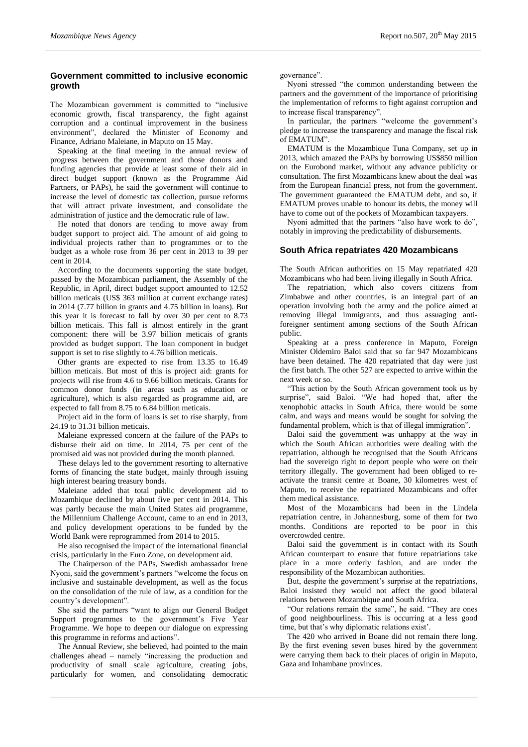# **Government committed to inclusive economic growth**

The Mozambican government is committed to "inclusive economic growth, fiscal transparency, the fight against corruption and a continual improvement in the business environment", declared the Minister of Economy and Finance, Adriano Maleiane, in Maputo on 15 May.

Speaking at the final meeting in the annual review of progress between the government and those donors and funding agencies that provide at least some of their aid in direct budget support (known as the Programme Aid Partners, or PAPs), he said the government will continue to increase the level of domestic tax collection, pursue reforms that will attract private investment, and consolidate the administration of justice and the democratic rule of law.

He noted that donors are tending to move away from budget support to project aid. The amount of aid going to individual projects rather than to programmes or to the budget as a whole rose from 36 per cent in 2013 to 39 per cent in 2014.

According to the documents supporting the state budget, passed by the Mozambican parliament, the Assembly of the Republic, in April, direct budget support amounted to 12.52 billion meticais (US\$ 363 million at current exchange rates) in 2014 (7.77 billion in grants and 4.75 billion in loans). But this year it is forecast to fall by over 30 per cent to 8.73 billion meticais. This fall is almost entirely in the grant component: there will be 3.97 billion meticais of grants provided as budget support. The loan component in budget support is set to rise slightly to 4.76 billion meticais.

Other grants are expected to rise from 13.35 to 16.49 billion meticais. But most of this is project aid: grants for projects will rise from 4.6 to 9.66 billion meticais. Grants for common donor funds (in areas such as education or agriculture), which is also regarded as programme aid, are expected to fall from 8.75 to 6.84 billion meticais.

Project aid in the form of loans is set to rise sharply, from 24.19 to 31.31 billion meticais.

Maleiane expressed concern at the failure of the PAPs to disburse their aid on time. In 2014, 75 per cent of the promised aid was not provided during the month planned.

These delays led to the government resorting to alternative forms of financing the state budget, mainly through issuing high interest bearing treasury bonds.

Maleiane added that total public development aid to Mozambique declined by about five per cent in 2014. This was partly because the main United States aid programme, the Millennium Challenge Account, came to an end in 2013, and policy development operations to be funded by the World Bank were reprogrammed from 2014 to 2015.

He also recognised the impact of the international financial crisis, particularly in the Euro Zone, on development aid.

The Chairperson of the PAPs, Swedish ambassador Irene Nyoni, said the government's partners "welcome the focus on inclusive and sustainable development, as well as the focus on the consolidation of the rule of law, as a condition for the country's development".

She said the partners "want to align our General Budget Support programmes to the government's Five Year Programme. We hope to deepen our dialogue on expressing this programme in reforms and actions".

The Annual Review, she believed, had pointed to the main challenges ahead – namely "increasing the production and productivity of small scale agriculture, creating jobs, particularly for women, and consolidating democratic

governance".

Nyoni stressed "the common understanding between the partners and the government of the importance of prioritising the implementation of reforms to fight against corruption and to increase fiscal transparency".

In particular, the partners "welcome the government's pledge to increase the transparency and manage the fiscal risk of EMATUM".

EMATUM is the Mozambique Tuna Company, set up in 2013, which amazed the PAPs by borrowing US\$850 million on the Eurobond market, without any advance publicity or consultation. The first Mozambicans knew about the deal was from the European financial press, not from the government. The government guaranteed the EMATUM debt, and so, if EMATUM proves unable to honour its debts, the money will have to come out of the pockets of Mozambican taxpayers.

Nyoni admitted that the partners "also have work to do", notably in improving the predictability of disbursements.

#### **South Africa repatriates 420 Mozambicans**

The South African authorities on 15 May repatriated 420 Mozambicans who had been living illegally in South Africa.

The repatriation, which also covers citizens from Zimbabwe and other countries, is an integral part of an operation involving both the army and the police aimed at removing illegal immigrants, and thus assuaging antiforeigner sentiment among sections of the South African public.

Speaking at a press conference in Maputo, Foreign Minister Oldemiro Baloi said that so far 947 Mozambicans have been detained. The 420 repatriated that day were just the first batch. The other 527 are expected to arrive within the next week or so.

"This action by the South African government took us by surprise", said Baloi. "We had hoped that, after the xenophobic attacks in South Africa, there would be some calm, and ways and means would be sought for solving the fundamental problem, which is that of illegal immigration".

Baloi said the government was unhappy at the way in which the South African authorities were dealing with the repatriation, although he recognised that the South Africans had the sovereign right to deport people who were on their territory illegally. The government had been obliged to reactivate the transit centre at Boane, 30 kilometres west of Maputo, to receive the repatriated Mozambicans and offer them medical assistance.

Most of the Mozambicans had been in the Lindela repatriation centre, in Johannesburg, some of them for two months. Conditions are reported to be poor in this overcrowded centre.

Baloi said the government is in contact with its South African counterpart to ensure that future repatriations take place in a more orderly fashion, and are under the responsibility of the Mozambican authorities.

But, despite the government's surprise at the repatriations, Baloi insisted they would not affect the good bilateral relations between Mozambique and South Africa.

"Our relations remain the same", he said. "They are ones of good neighbourliness. This is occurring at a less good time, but that's why diplomatic relations exist'.

The 420 who arrived in Boane did not remain there long. By the first evening seven buses hired by the government were carrying them back to their places of origin in Maputo, Gaza and Inhambane provinces.